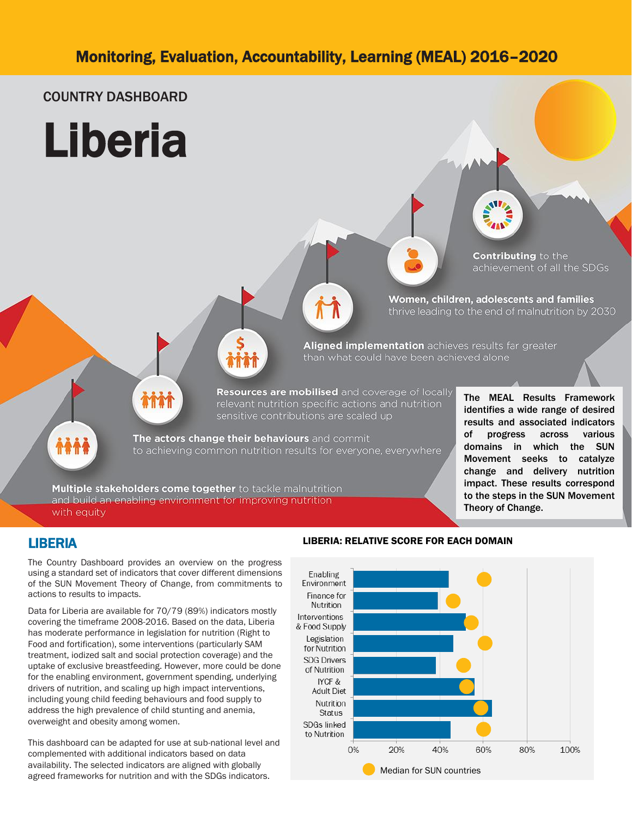### COUNTRY DASHBOARD





**Contributing to the** achievement of all the SDGs

Women, children, adolescents and families thrive leading to the end of malnutrition by 2030

Aligned implementation achieves results far greater than what could have been achieved alone

Resources are mobilised and coverage of locally relevant nutrition specific actions and nutrition sensitive contributions are scaled up

The MEAL Results Framework identifies a wide range of desired results and associated indicators of progress across various domains in which the SUN Movement seeks to catalyze change and delivery nutrition impact. These results correspond to the steps in the SUN Movement Theory of Change.

**A&A** 

The actors change their behaviours and commit to achieving common nutrition results for everyone, everywhere

Multiple stakeholders come together to tackle malnutrition and build an enabling environment for improving nutrition with equity

### LIBERIA

The Country Dashboard provides an overview on the progress using a standard set of indicators that cover different dimensions of the SUN Movement Theory of Change, from commitments to actions to results to impacts.

Data for Liberia are available for 70/79 (89%) indicators mostly covering the timeframe 2008-2016. Based on the data, Liberia has moderate performance in legislation for nutrition (Right to Food and fortification), some interventions (particularly SAM treatment, iodized salt and social protection coverage) and the uptake of exclusive breastfeeding. However, more could be done for the enabling environment, government spending, underlying drivers of nutrition, and scaling up high impact interventions, including young child feeding behaviours and food supply to address the high prevalence of child stunting and anemia, overweight and obesity among women.

This dashboard can be adapted for use at sub-national level and complemented with additional indicators based on data availability. The selected indicators are aligned with globally agreed frameworks for nutrition and with the SDGs indicators.

#### LIBERIA: RELATIVE SCORE FOR EACH DOMAIN

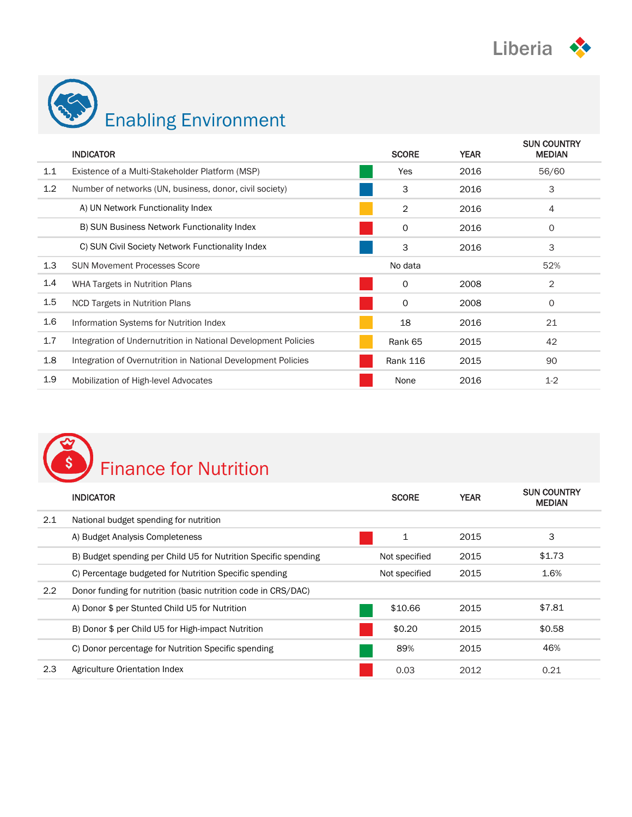

| Enabling Environment |
|----------------------|

|         | <b>INDICATOR</b>                                               | <b>SCORE</b>    | <b>YEAR</b> | <b>SUN COUNTRY</b><br><b>MEDIAN</b> |
|---------|----------------------------------------------------------------|-----------------|-------------|-------------------------------------|
| 1.1     | Existence of a Multi-Stakeholder Platform (MSP)                | Yes             | 2016        | 56/60                               |
| 1.2     | Number of networks (UN, business, donor, civil society)        | 3               | 2016        | 3                                   |
|         | A) UN Network Functionality Index                              | 2               | 2016        | 4                                   |
|         | B) SUN Business Network Functionality Index                    | 0               | 2016        | $\mathbf 0$                         |
|         | C) SUN Civil Society Network Functionality Index               | 3               | 2016        | 3                                   |
| 1.3     | <b>SUN Movement Processes Score</b>                            | No data         |             | 52%                                 |
| 1.4     | <b>WHA Targets in Nutrition Plans</b>                          | $\Omega$        | 2008        | 2                                   |
| 1.5     | <b>NCD Targets in Nutrition Plans</b>                          | 0               | 2008        | 0                                   |
| $1.6\,$ | Information Systems for Nutrition Index                        | 18              | 2016        | 21                                  |
| 1.7     | Integration of Undernutrition in National Development Policies | Rank 65         | 2015        | 42                                  |
| 1.8     | Integration of Overnutrition in National Development Policies  | <b>Rank 116</b> | 2015        | 90                                  |
| 1.9     | Mobilization of High-level Advocates                           | None            | 2016        | $1 - 2$                             |



|               | <b>INDICATOR</b>                                                | <b>SCORE</b>  | <b>YEAR</b> | <b>SUN COUNTRY</b><br><b>MEDIAN</b> |
|---------------|-----------------------------------------------------------------|---------------|-------------|-------------------------------------|
| 2.1           | National budget spending for nutrition                          |               |             |                                     |
|               | A) Budget Analysis Completeness                                 | 1             | 2015        | 3                                   |
|               | B) Budget spending per Child U5 for Nutrition Specific spending | Not specified | 2015        | \$1.73                              |
|               | C) Percentage budgeted for Nutrition Specific spending          | Not specified | 2015        | 1.6%                                |
| $2.2^{\circ}$ | Donor funding for nutrition (basic nutrition code in CRS/DAC)   |               |             |                                     |
|               | A) Donor \$ per Stunted Child U5 for Nutrition                  | \$10.66       | 2015        | \$7.81                              |
|               | B) Donor \$ per Child U5 for High-impact Nutrition              | \$0.20        | 2015        | \$0.58                              |
|               | C) Donor percentage for Nutrition Specific spending             | 89%           | 2015        | 46%                                 |
| 2.3           | Agriculture Orientation Index                                   | 0.03          | 2012        | 0.21                                |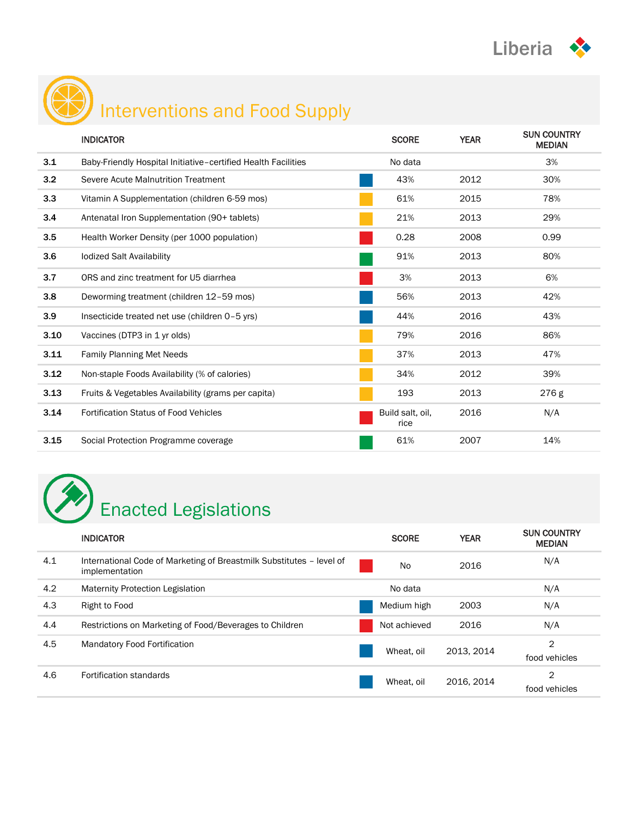



# Interventions and Food Supply

|      | <b>INDICATOR</b>                                              | <b>SCORE</b>             | <b>YEAR</b> | <b>SUN COUNTRY</b><br><b>MEDIAN</b> |
|------|---------------------------------------------------------------|--------------------------|-------------|-------------------------------------|
| 3.1  | Baby-Friendly Hospital Initiative-certified Health Facilities | No data                  |             | 3%                                  |
| 3.2  | Severe Acute Malnutrition Treatment                           | 43%                      | 2012        | 30%                                 |
| 3.3  | Vitamin A Supplementation (children 6-59 mos)                 | 61%                      | 2015        | 78%                                 |
| 3.4  | Antenatal Iron Supplementation (90+ tablets)                  | 21%                      | 2013        | 29%                                 |
| 3.5  | Health Worker Density (per 1000 population)                   | 0.28                     | 2008        | 0.99                                |
| 3.6  | <b>lodized Salt Availability</b>                              | 91%                      | 2013        | 80%                                 |
| 3.7  | ORS and zinc treatment for U5 diarrhea                        | 3%                       | 2013        | 6%                                  |
| 3.8  | Deworming treatment (children 12-59 mos)                      | 56%                      | 2013        | 42%                                 |
| 3.9  | Insecticide treated net use (children 0-5 yrs)                | 44%                      | 2016        | 43%                                 |
| 3.10 | Vaccines (DTP3 in 1 yr olds)                                  | 79%                      | 2016        | 86%                                 |
| 3.11 | <b>Family Planning Met Needs</b>                              | 37%                      | 2013        | 47%                                 |
| 3.12 | Non-staple Foods Availability (% of calories)                 | 34%                      | 2012        | 39%                                 |
| 3.13 | Fruits & Vegetables Availability (grams per capita)           | 193                      | 2013        | 276 g                               |
| 3.14 | <b>Fortification Status of Food Vehicles</b>                  | Build salt, oil,<br>rice | 2016        | N/A                                 |
| 3.15 | Social Protection Programme coverage                          | 61%                      | 2007        | 14%                                 |



|     | <b>INDICATOR</b>                                                                       | <b>SCORE</b> | <b>YEAR</b> | <b>SUN COUNTRY</b><br><b>MEDIAN</b> |
|-----|----------------------------------------------------------------------------------------|--------------|-------------|-------------------------------------|
| 4.1 | International Code of Marketing of Breastmilk Substitutes - level of<br>implementation | <b>No</b>    | 2016        | N/A                                 |
| 4.2 | <b>Maternity Protection Legislation</b>                                                | No data      |             | N/A                                 |
| 4.3 | Right to Food                                                                          | Medium high  | 2003        | N/A                                 |
| 4.4 | Restrictions on Marketing of Food/Beverages to Children                                | Not achieved | 2016        | N/A                                 |
| 4.5 | <b>Mandatory Food Fortification</b>                                                    | Wheat, oil   | 2013, 2014  | 2<br>food vehicles                  |
| 4.6 | Fortification standards                                                                | Wheat, oil   | 2016, 2014  | 2<br>food vehicles                  |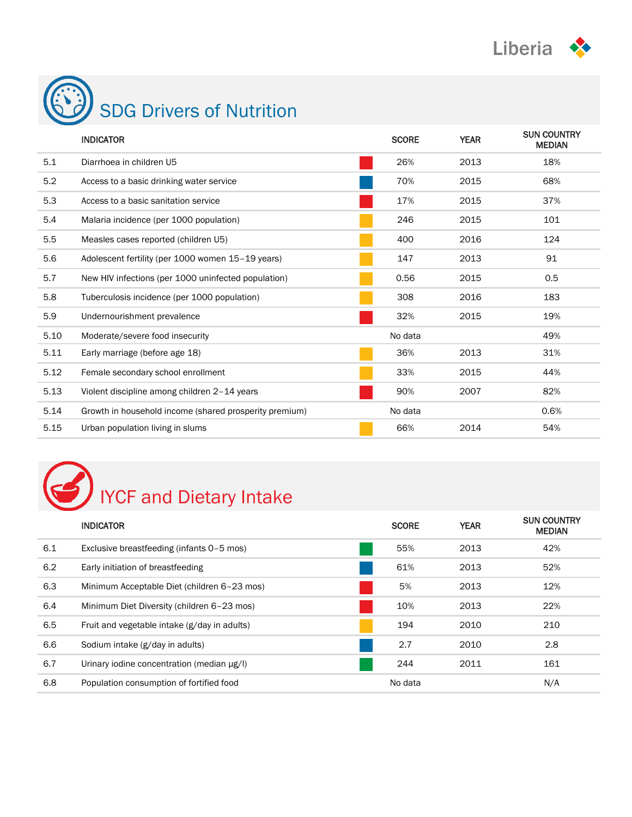



|      | <b>INDICATOR</b>                                       | <b>SCORE</b> | <b>YEAR</b> | <b>SUN COUNTRY</b><br><b>MEDIAN</b> |
|------|--------------------------------------------------------|--------------|-------------|-------------------------------------|
| 5.1  | Diarrhoea in children U5                               | 26%          | 2013        | 18%                                 |
| 5.2  | Access to a basic drinking water service               | 70%          | 2015        | 68%                                 |
| 5.3  | Access to a basic sanitation service                   | 17%          | 2015        | 37%                                 |
| 5.4  | Malaria incidence (per 1000 population)                | 246          | 2015        | 101                                 |
| 5.5  | Measles cases reported (children U5)                   | 400          | 2016        | 124                                 |
| 5.6  | Adolescent fertility (per 1000 women 15-19 years)      | 147          | 2013        | 91                                  |
| 5.7  | New HIV infections (per 1000 uninfected population)    | 0.56         | 2015        | 0.5                                 |
| 5.8  | Tuberculosis incidence (per 1000 population)           | 308          | 2016        | 183                                 |
| 5.9  | Undernourishment prevalence                            | 32%          | 2015        | 19%                                 |
| 5.10 | Moderate/severe food insecurity                        | No data      |             | 49%                                 |
| 5.11 | Early marriage (before age 18)                         | 36%          | 2013        | 31%                                 |
| 5.12 | Female secondary school enrollment                     | 33%          | 2015        | 44%                                 |
| 5.13 | Violent discipline among children 2-14 years           | 90%          | 2007        | 82%                                 |
| 5.14 | Growth in household income (shared prosperity premium) | No data      |             | 0.6%                                |
| 5.15 | Urban population living in slums                       | 66%          | 2014        | 54%                                 |

# IYCF and Dietary Intake

|     | <b>INDICATOR</b>                                | <b>SCORE</b> | <b>YEAR</b> | <b>SUN COUNTRY</b><br><b>MEDIAN</b> |
|-----|-------------------------------------------------|--------------|-------------|-------------------------------------|
| 6.1 | Exclusive breastfeeding (infants 0-5 mos)       | 55%          | 2013        | 42%                                 |
| 6.2 | Early initiation of breastfeeding               | 61%          | 2013        | 52%                                 |
| 6.3 | Minimum Acceptable Diet (children 6-23 mos)     | 5%           | 2013        | 12%                                 |
| 6.4 | Minimum Diet Diversity (children 6-23 mos)      | 10%          | 2013        | 22%                                 |
| 6.5 | Fruit and vegetable intake (g/day in adults)    | 194          | 2010        | 210                                 |
| 6.6 | Sodium intake (g/day in adults)                 | 2.7          | 2010        | 2.8                                 |
| 6.7 | Urinary iodine concentration (median $\mu$ g/l) | 244          | 2011        | 161                                 |
| 6.8 | Population consumption of fortified food        | No data      |             | N/A                                 |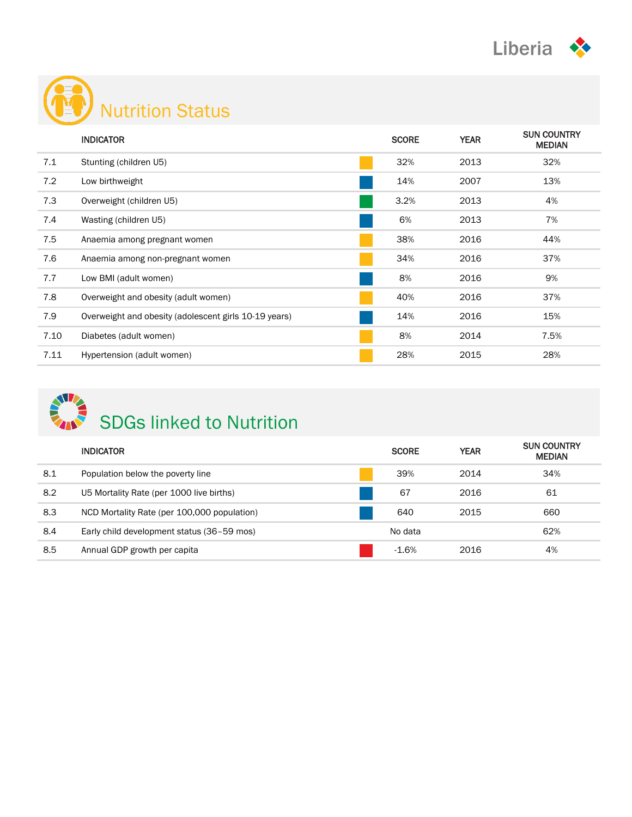



|      | <b>INDICATOR</b>                                      | <b>SCORE</b> | <b>YEAR</b> | <b>SUN COUNTRY</b><br><b>MEDIAN</b> |
|------|-------------------------------------------------------|--------------|-------------|-------------------------------------|
| 7.1  | Stunting (children U5)                                | 32%          | 2013        | 32%                                 |
| 7.2  | Low birthweight                                       | 14%          | 2007        | 13%                                 |
| 7.3  | Overweight (children U5)                              | 3.2%         | 2013        | 4%                                  |
| 7.4  | Wasting (children U5)                                 | 6%           | 2013        | 7%                                  |
| 7.5  | Anaemia among pregnant women                          | 38%          | 2016        | 44%                                 |
| 7.6  | Anaemia among non-pregnant women                      | 34%          | 2016        | 37%                                 |
| 7.7  | Low BMI (adult women)                                 | 8%           | 2016        | 9%                                  |
| 7.8  | Overweight and obesity (adult women)                  | 40%          | 2016        | 37%                                 |
| 7.9  | Overweight and obesity (adolescent girls 10-19 years) | 14%          | 2016        | 15%                                 |
| 7.10 | Diabetes (adult women)                                | 8%           | 2014        | 7.5%                                |
| 7.11 | Hypertension (adult women)                            | 28%          | 2015        | 28%                                 |



|     | <b>INDICATOR</b>                            | <b>SCORE</b> | <b>YEAR</b> | <b>SUN COUNTRY</b><br><b>MEDIAN</b> |
|-----|---------------------------------------------|--------------|-------------|-------------------------------------|
| 8.1 | Population below the poverty line           | 39%          | 2014        | 34%                                 |
| 8.2 | U5 Mortality Rate (per 1000 live births)    | 67           | 2016        | 61                                  |
| 8.3 | NCD Mortality Rate (per 100,000 population) | 640          | 2015        | 660                                 |
| 8.4 | Early child development status (36–59 mos)  | No data      |             | 62%                                 |
| 8.5 | Annual GDP growth per capita                | $-1.6%$      | 2016        | 4%                                  |